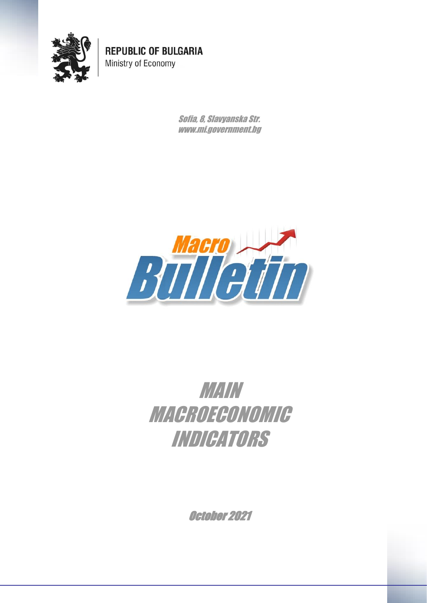

**REPUBLIC OF BULGARIA** Ministry of Economy

> Sofia, 8, Slavyanska Str. www.mi.government.bg



## MAIN MACROECONOMIC INDICATORS

October 2021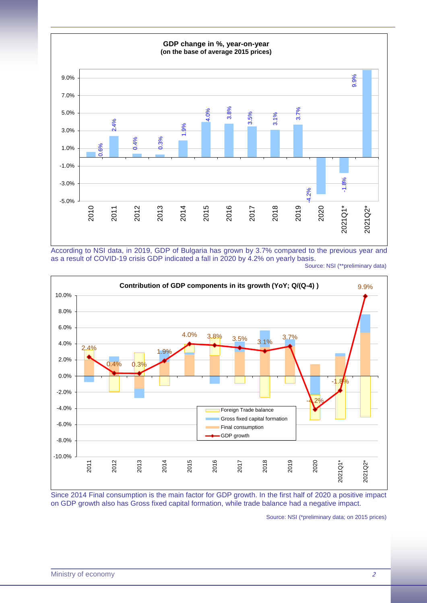

According to NSI data, in 2019, GDP of Bulgaria has grown by 3.7% compared to the previous year and as a result of COVID-19 crisis GDP indicated a fall in 2020 by 4.2% on yearly basis.





Since 2014 Final consumption is the main factor for GDP growth. In the first half of 2020 a positive impact on GDP growth also has Gross fixed capital formation, while trade balance had a negative impact.

Source: NSI (\*preliminary data; on 2015 prices)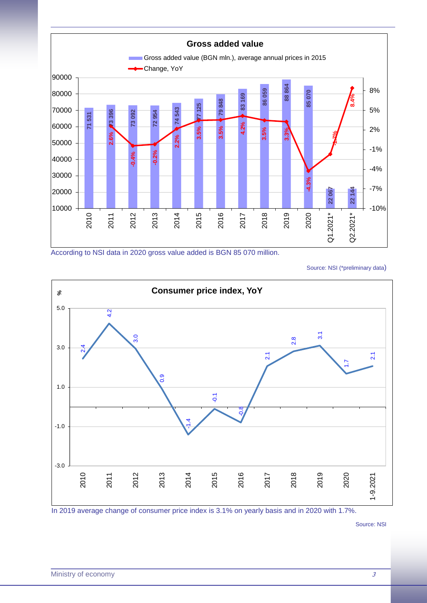

According to NSI data in 2020 gross value added is BGN 85 070 million.

Source: NSI (\*preliminary data)



In 2019 average change of consumer price index is 3.1% on yearly basis and in 2020 with 1.7%.

Source: NSI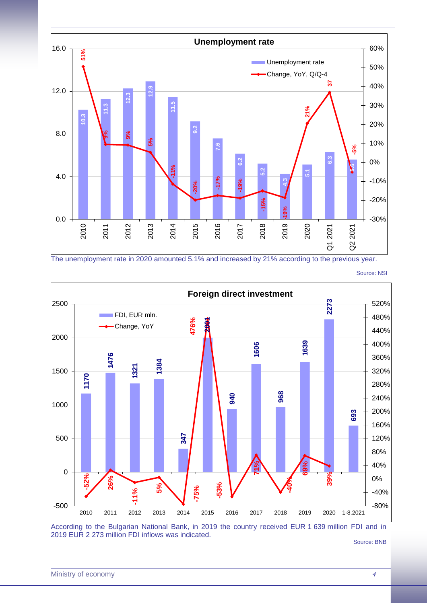

The unemployment rate in 2020 amounted 5.1% and increased by 21% according to the previous year.

**Foreign direct investment 2273** 2500 520% FDI, EUR mln. 480% 476% **-75% 476% 2001** Change, YoY440% 2000 **1639** 400% **1606 1476** 360% **1384 1321** 1500 320% **1170** 280% **968 940** 240% 1000 **693** 200% 160% **347** 500 120% 80% **71%** 40% **69%** 0 **-52% 26%** 0% **-40% 39% -53% 5%** -75% **-11%** -40% -500 -80% 2010 2011 2012 2013 2014 2015 2016 2017 2018 2019 2020 1-8.2021

Source: NSI

According to the Bulgarian National Bank, in 2019 the country received EUR 1 639 million FDI and in 2019 EUR 2 273 million FDI inflows was indicated.

Source: BNB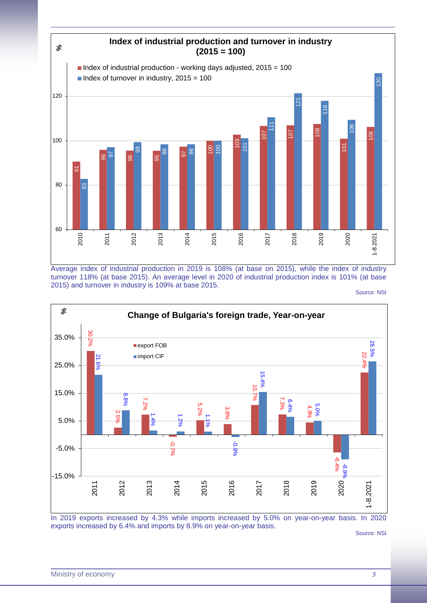

Average index of industrial production in 2019 is 108% (at base on 2015), while the index of industry turnover 118% (at base 2015). An average level in 2020 of industrial production index is 101% (at base 2015) and turnover in industry is 109% at base 2015.

Source: NSI



In 2019 exports increased by 4.3% while imports increased by 5.0% on year-on-year basis. In 2020 exports increased by 6.4% and imports by 8.9% on year-on-year basis.

Source: NSI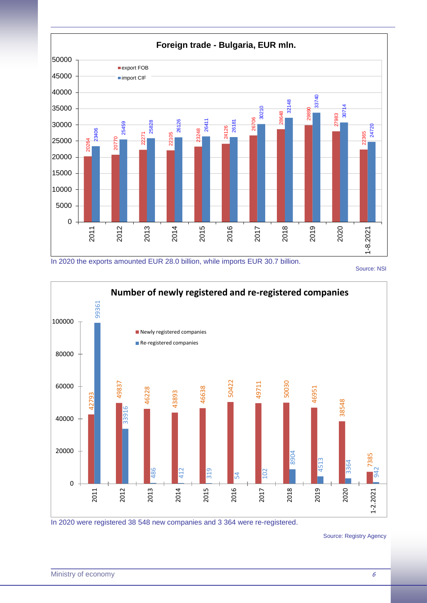

In 2020 the exports amounted EUR 28.0 billion, while imports EUR 30.7 billion.

Source: NSI



In 2020 were registered 38 548 new companies and 3 364 were re-registered.

Source: Registry Agency